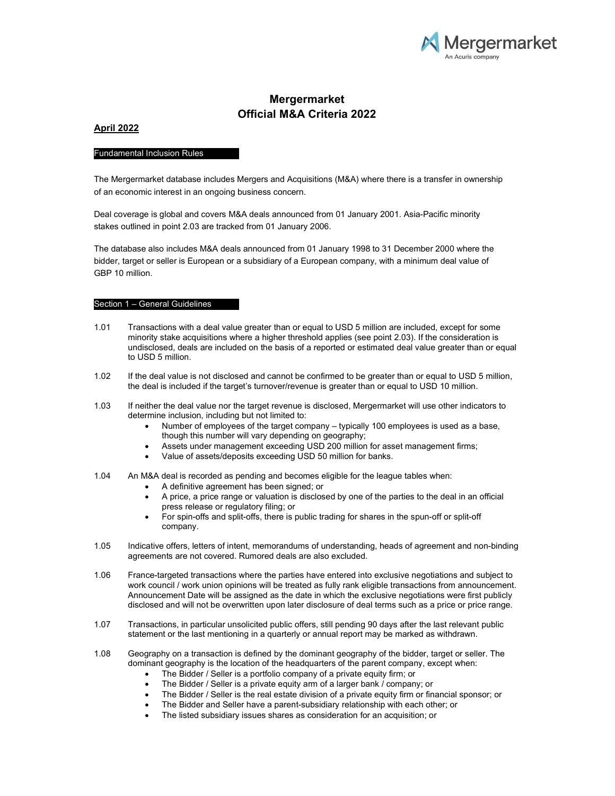

# Mergermarket Official M&A Criteria 2022

# April 2022

# Fundamental Inclusion Rules

The Mergermarket database includes Mergers and Acquisitions (M&A) where there is a transfer in ownership of an economic interest in an ongoing business concern.

Deal coverage is global and covers M&A deals announced from 01 January 2001. Asia-Pacific minority stakes outlined in point 2.03 are tracked from 01 January 2006.

The database also includes M&A deals announced from 01 January 1998 to 31 December 2000 where the bidder, target or seller is European or a subsidiary of a European company, with a minimum deal value of GBP 10 million.

## Section 1 – General Guidelines

- 1.01 Transactions with a deal value greater than or equal to USD 5 million are included, except for some minority stake acquisitions where a higher threshold applies (see point 2.03). If the consideration is undisclosed, deals are included on the basis of a reported or estimated deal value greater than or equal to USD 5 million.
- 1.02 If the deal value is not disclosed and cannot be confirmed to be greater than or equal to USD 5 million, the deal is included if the target's turnover/revenue is greater than or equal to USD 10 million.
- 1.03 If neither the deal value nor the target revenue is disclosed, Mergermarket will use other indicators to determine inclusion, including but not limited to:
	- Number of employees of the target company typically 100 employees is used as a base, though this number will vary depending on geography;
	- Assets under management exceeding USD 200 million for asset management firms;
	- Value of assets/deposits exceeding USD 50 million for banks.
- 1.04 An M&A deal is recorded as pending and becomes eligible for the league tables when:
	- A definitive agreement has been signed; or
	- A price, a price range or valuation is disclosed by one of the parties to the deal in an official press release or regulatory filing; or
	- For spin-offs and split-offs, there is public trading for shares in the spun-off or split-off company.
- 1.05 Indicative offers, letters of intent, memorandums of understanding, heads of agreement and non-binding agreements are not covered. Rumored deals are also excluded.
- 1.06 France-targeted transactions where the parties have entered into exclusive negotiations and subject to work council / work union opinions will be treated as fully rank eligible transactions from announcement. Announcement Date will be assigned as the date in which the exclusive negotiations were first publicly disclosed and will not be overwritten upon later disclosure of deal terms such as a price or price range.
- 1.07 Transactions, in particular unsolicited public offers, still pending 90 days after the last relevant public statement or the last mentioning in a quarterly or annual report may be marked as withdrawn.
- 1.08 Geography on a transaction is defined by the dominant geography of the bidder, target or seller. The dominant geography is the location of the headquarters of the parent company, except when:
	- The Bidder / Seller is a portfolio company of a private equity firm; or
	- The Bidder / Seller is a private equity arm of a larger bank / company; or
	- The Bidder / Seller is the real estate division of a private equity firm or financial sponsor; or
	- The Bidder and Seller have a parent-subsidiary relationship with each other; or
	- The listed subsidiary issues shares as consideration for an acquisition; or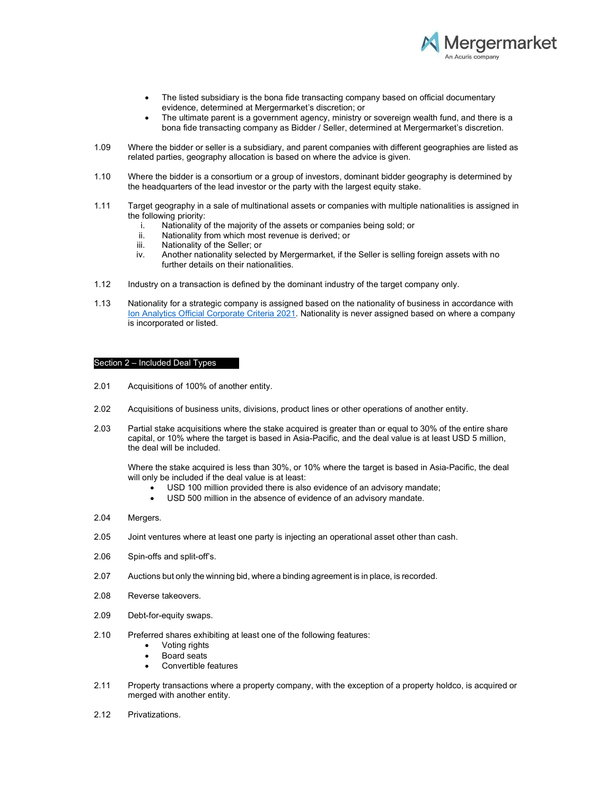

- The listed subsidiary is the bona fide transacting company based on official documentary evidence, determined at Mergermarket's discretion; or
- The ultimate parent is a government agency, ministry or sovereign wealth fund, and there is a bona fide transacting company as Bidder / Seller, determined at Mergermarket's discretion.
- 1.09 Where the bidder or seller is a subsidiary, and parent companies with different geographies are listed as related parties, geography allocation is based on where the advice is given.
- 1.10 Where the bidder is a consortium or a group of investors, dominant bidder geography is determined by the headquarters of the lead investor or the party with the largest equity stake.
- 1.11 Target geography in a sale of multinational assets or companies with multiple nationalities is assigned in the following priority:
	- i. Nationality of the majority of the assets or companies being sold; or
	- ii. Nationality from which most revenue is derived; or<br>iii. Nationality of the Seller: or
	- Nationality of the Seller; or
	- iv. Another nationality selected by Mergermarket, if the Seller is selling foreign assets with no further details on their nationalities.
- 1.12 Industry on a transaction is defined by the dominant industry of the target company only.
- 1.13 Nationality for a strategic company is assigned based on the nationality of business in accordance with Ion Analytics Official Corporate Criteria 2021. Nationality is never assigned based on where a company is incorporated or listed.

#### Section 2 – Included Deal Types

- 2.01 Acquisitions of 100% of another entity.
- 2.02 Acquisitions of business units, divisions, product lines or other operations of another entity.
- 2.03 Partial stake acquisitions where the stake acquired is greater than or equal to 30% of the entire share capital, or 10% where the target is based in Asia-Pacific, and the deal value is at least USD 5 million, the deal will be included.

Where the stake acquired is less than 30%, or 10% where the target is based in Asia-Pacific, the deal will only be included if the deal value is at least:

- USD 100 million provided there is also evidence of an advisory mandate;
- USD 500 million in the absence of evidence of an advisory mandate.
- 2.04 Mergers.
- 2.05 Joint ventures where at least one party is injecting an operational asset other than cash.
- 2.06 Spin-offs and split-off's.
- 2.07 Auctions but only the winning bid, where a binding agreement is in place, is recorded.
- 2.08 Reverse takeovers.
- 2.09 Debt-for-equity swaps.
- 2.10 Preferred shares exhibiting at least one of the following features:
	- Voting rights
		- Board seats
	- Convertible features
- 2.11 Property transactions where a property company, with the exception of a property holdco, is acquired or merged with another entity.
- 2.12 Privatizations.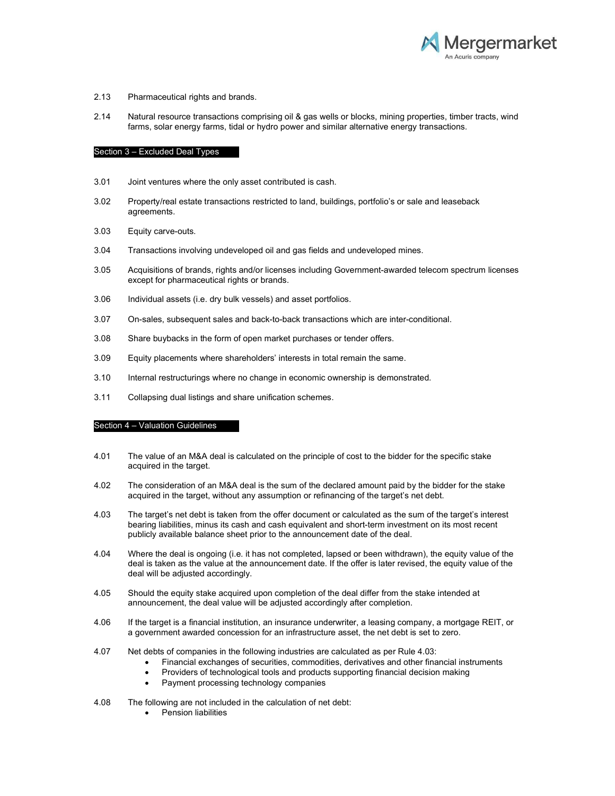

### 2.13 Pharmaceutical rights and brands.

2.14 Natural resource transactions comprising oil & gas wells or blocks, mining properties, timber tracts, wind farms, solar energy farms, tidal or hydro power and similar alternative energy transactions.

### Section 3 – Excluded Deal Types

- 3.01 Joint ventures where the only asset contributed is cash.
- 3.02 Property/real estate transactions restricted to land, buildings, portfolio's or sale and leaseback agreements.
- 3.03 Equity carve-outs.
- 3.04 Transactions involving undeveloped oil and gas fields and undeveloped mines.
- 3.05 Acquisitions of brands, rights and/or licenses including Government-awarded telecom spectrum licenses except for pharmaceutical rights or brands.
- 3.06 Individual assets (i.e. dry bulk vessels) and asset portfolios.
- 3.07 On-sales, subsequent sales and back-to-back transactions which are inter-conditional.
- 3.08 Share buybacks in the form of open market purchases or tender offers.
- 3.09 Equity placements where shareholders' interests in total remain the same.
- 3.10 Internal restructurings where no change in economic ownership is demonstrated.
- 3.11 Collapsing dual listings and share unification schemes.

# Section 4 – Valuation Guidelines

- 4.01 The value of an M&A deal is calculated on the principle of cost to the bidder for the specific stake acquired in the target.
- 4.02 The consideration of an M&A deal is the sum of the declared amount paid by the bidder for the stake acquired in the target, without any assumption or refinancing of the target's net debt.
- 4.03 The target's net debt is taken from the offer document or calculated as the sum of the target's interest bearing liabilities, minus its cash and cash equivalent and short-term investment on its most recent publicly available balance sheet prior to the announcement date of the deal.
- 4.04 Where the deal is ongoing (i.e. it has not completed, lapsed or been withdrawn), the equity value of the deal is taken as the value at the announcement date. If the offer is later revised, the equity value of the deal will be adjusted accordingly.
- 4.05 Should the equity stake acquired upon completion of the deal differ from the stake intended at announcement, the deal value will be adjusted accordingly after completion.
- 4.06 If the target is a financial institution, an insurance underwriter, a leasing company, a mortgage REIT, or a government awarded concession for an infrastructure asset, the net debt is set to zero.
- 4.07 Net debts of companies in the following industries are calculated as per Rule 4.03:
	- Financial exchanges of securities, commodities, derivatives and other financial instruments
	- Providers of technological tools and products supporting financial decision making
	- Payment processing technology companies
- 4.08 The following are not included in the calculation of net debt:
	- **•** Pension liabilities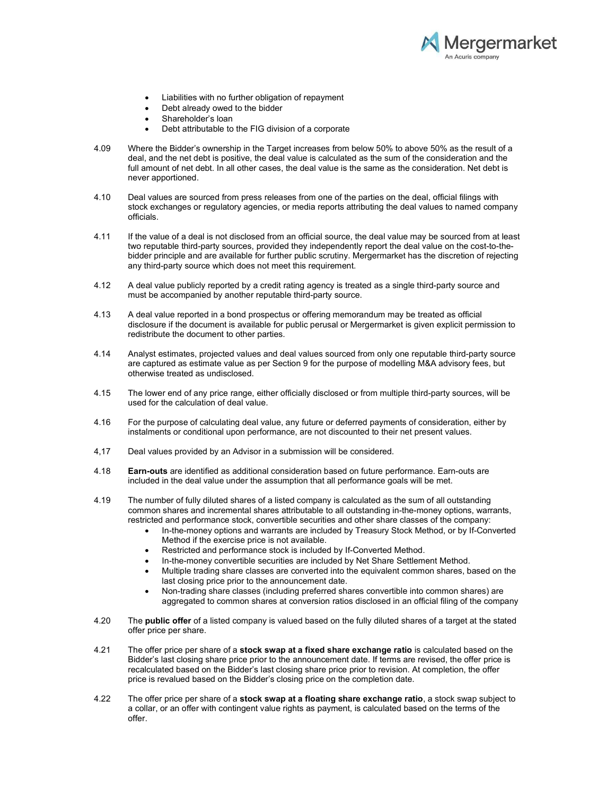

- Liabilities with no further obligation of repayment
- Debt already owed to the bidder
- Shareholder's loan
- Debt attributable to the FIG division of a corporate
- 4.09 Where the Bidder's ownership in the Target increases from below 50% to above 50% as the result of a deal, and the net debt is positive, the deal value is calculated as the sum of the consideration and the full amount of net debt. In all other cases, the deal value is the same as the consideration. Net debt is never apportioned.
- 4.10 Deal values are sourced from press releases from one of the parties on the deal, official filings with stock exchanges or regulatory agencies, or media reports attributing the deal values to named company officials.
- 4.11 If the value of a deal is not disclosed from an official source, the deal value may be sourced from at least two reputable third-party sources, provided they independently report the deal value on the cost-to-thebidder principle and are available for further public scrutiny. Mergermarket has the discretion of rejecting any third-party source which does not meet this requirement.
- 4.12 A deal value publicly reported by a credit rating agency is treated as a single third-party source and must be accompanied by another reputable third-party source.
- 4.13 A deal value reported in a bond prospectus or offering memorandum may be treated as official disclosure if the document is available for public perusal or Mergermarket is given explicit permission to redistribute the document to other parties.
- 4.14 Analyst estimates, projected values and deal values sourced from only one reputable third-party source are captured as estimate value as per Section 9 for the purpose of modelling M&A advisory fees, but otherwise treated as undisclosed.
- 4.15 The lower end of any price range, either officially disclosed or from multiple third-party sources, will be used for the calculation of deal value.
- 4.16 For the purpose of calculating deal value, any future or deferred payments of consideration, either by instalments or conditional upon performance, are not discounted to their net present values.
- 4,17 Deal values provided by an Advisor in a submission will be considered.
- 4.18 **Earn-outs** are identified as additional consideration based on future performance. Earn-outs are included in the deal value under the assumption that all performance goals will be met.
- 4.19 The number of fully diluted shares of a listed company is calculated as the sum of all outstanding common shares and incremental shares attributable to all outstanding in-the-money options, warrants, restricted and performance stock, convertible securities and other share classes of the company:
	- In-the-money options and warrants are included by Treasury Stock Method, or by If-Converted Method if the exercise price is not available.
	- Restricted and performance stock is included by If-Converted Method.
	- In-the-money convertible securities are included by Net Share Settlement Method.
	- Multiple trading share classes are converted into the equivalent common shares, based on the last closing price prior to the announcement date.
	- Non-trading share classes (including preferred shares convertible into common shares) are aggregated to common shares at conversion ratios disclosed in an official filing of the company
- 4.20 The **public offer** of a listed company is valued based on the fully diluted shares of a target at the stated offer price per share.
- 4.21 The offer price per share of a **stock swap at a fixed share exchange ratio** is calculated based on the Bidder's last closing share price prior to the announcement date. If terms are revised, the offer price is recalculated based on the Bidder's last closing share price prior to revision. At completion, the offer price is revalued based on the Bidder's closing price on the completion date.
- 4.22 The offer price per share of a **stock swap at a floating share exchange ratio**, a stock swap subject to a collar, or an offer with contingent value rights as payment, is calculated based on the terms of the offer.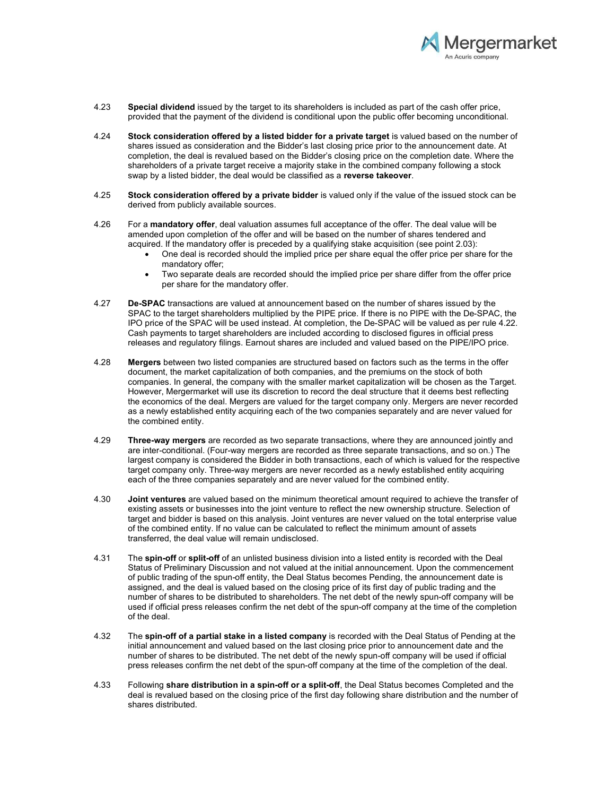

- 4.23 Special dividend issued by the target to its shareholders is included as part of the cash offer price, provided that the payment of the dividend is conditional upon the public offer becoming unconditional.
- 4.24 Stock consideration offered by a listed bidder for a private target is valued based on the number of shares issued as consideration and the Bidder's last closing price prior to the announcement date. At completion, the deal is revalued based on the Bidder's closing price on the completion date. Where the shareholders of a private target receive a majority stake in the combined company following a stock swap by a listed bidder, the deal would be classified as a reverse takeover.
- 4.25 Stock consideration offered by a private bidder is valued only if the value of the issued stock can be derived from publicly available sources.
- 4.26 For a mandatory offer, deal valuation assumes full acceptance of the offer. The deal value will be amended upon completion of the offer and will be based on the number of shares tendered and acquired. If the mandatory offer is preceded by a qualifying stake acquisition (see point 2.03):
	- One deal is recorded should the implied price per share equal the offer price per share for the mandatory offer;
	- Two separate deals are recorded should the implied price per share differ from the offer price per share for the mandatory offer.
- 4.27 De-SPAC transactions are valued at announcement based on the number of shares issued by the SPAC to the target shareholders multiplied by the PIPE price. If there is no PIPE with the De-SPAC, the IPO price of the SPAC will be used instead. At completion, the De-SPAC will be valued as per rule 4.22. Cash payments to target shareholders are included according to disclosed figures in official press releases and regulatory filings. Earnout shares are included and valued based on the PIPE/IPO price.
- 4.28 Mergers between two listed companies are structured based on factors such as the terms in the offer document, the market capitalization of both companies, and the premiums on the stock of both companies. In general, the company with the smaller market capitalization will be chosen as the Target. However, Mergermarket will use its discretion to record the deal structure that it deems best reflecting the economics of the deal. Mergers are valued for the target company only. Mergers are never recorded as a newly established entity acquiring each of the two companies separately and are never valued for the combined entity.
- 4.29 Three-way mergers are recorded as two separate transactions, where they are announced jointly and are inter-conditional. (Four-way mergers are recorded as three separate transactions, and so on.) The largest company is considered the Bidder in both transactions, each of which is valued for the respective target company only. Three-way mergers are never recorded as a newly established entity acquiring each of the three companies separately and are never valued for the combined entity.
- 4.30 **Joint ventures** are valued based on the minimum theoretical amount required to achieve the transfer of existing assets or businesses into the joint venture to reflect the new ownership structure. Selection of target and bidder is based on this analysis. Joint ventures are never valued on the total enterprise value of the combined entity. If no value can be calculated to reflect the minimum amount of assets transferred, the deal value will remain undisclosed.
- 4.31 The spin-off or split-off of an unlisted business division into a listed entity is recorded with the Deal Status of Preliminary Discussion and not valued at the initial announcement. Upon the commencement of public trading of the spun-off entity, the Deal Status becomes Pending, the announcement date is assigned, and the deal is valued based on the closing price of its first day of public trading and the number of shares to be distributed to shareholders. The net debt of the newly spun-off company will be used if official press releases confirm the net debt of the spun-off company at the time of the completion of the deal.
- 4.32 The spin-off of a partial stake in a listed company is recorded with the Deal Status of Pending at the initial announcement and valued based on the last closing price prior to announcement date and the number of shares to be distributed. The net debt of the newly spun-off company will be used if official press releases confirm the net debt of the spun-off company at the time of the completion of the deal.
- 4.33 Following share distribution in a spin-off or a split-off, the Deal Status becomes Completed and the deal is revalued based on the closing price of the first day following share distribution and the number of shares distributed.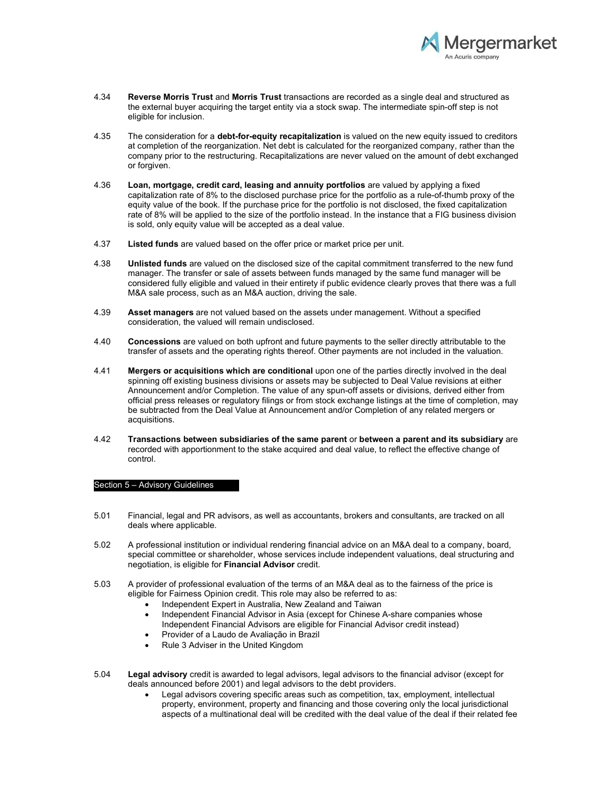

- 4.34 Reverse Morris Trust and Morris Trust transactions are recorded as a single deal and structured as the external buyer acquiring the target entity via a stock swap. The intermediate spin-off step is not eligible for inclusion.
- 4.35 The consideration for a debt-for-equity recapitalization is valued on the new equity issued to creditors at completion of the reorganization. Net debt is calculated for the reorganized company, rather than the company prior to the restructuring. Recapitalizations are never valued on the amount of debt exchanged or forgiven.
- 4.36 Loan, mortgage, credit card, leasing and annuity portfolios are valued by applying a fixed capitalization rate of 8% to the disclosed purchase price for the portfolio as a rule-of-thumb proxy of the equity value of the book. If the purchase price for the portfolio is not disclosed, the fixed capitalization rate of 8% will be applied to the size of the portfolio instead. In the instance that a FIG business division is sold, only equity value will be accepted as a deal value.
- 4.37 Listed funds are valued based on the offer price or market price per unit.
- 4.38 **Unlisted funds** are valued on the disclosed size of the capital commitment transferred to the new fund manager. The transfer or sale of assets between funds managed by the same fund manager will be considered fully eligible and valued in their entirety if public evidence clearly proves that there was a full M&A sale process, such as an M&A auction, driving the sale.
- 4.39 **Asset managers** are not valued based on the assets under management. Without a specified consideration, the valued will remain undisclosed.
- 4.40 Concessions are valued on both upfront and future payments to the seller directly attributable to the transfer of assets and the operating rights thereof. Other payments are not included in the valuation.
- 4.41 Mergers or acquisitions which are conditional upon one of the parties directly involved in the deal spinning off existing business divisions or assets may be subjected to Deal Value revisions at either Announcement and/or Completion. The value of any spun-off assets or divisions, derived either from official press releases or regulatory filings or from stock exchange listings at the time of completion, may be subtracted from the Deal Value at Announcement and/or Completion of any related mergers or acquisitions.
- 4.42 Transactions between subsidiaries of the same parent or between a parent and its subsidiary are recorded with apportionment to the stake acquired and deal value, to reflect the effective change of control.

#### Section 5 – Advisory Guidelines

- 5.01 Financial, legal and PR advisors, as well as accountants, brokers and consultants, are tracked on all deals where applicable.
- 5.02 A professional institution or individual rendering financial advice on an M&A deal to a company, board, special committee or shareholder, whose services include independent valuations, deal structuring and negotiation, is eligible for Financial Advisor credit.
- 5.03 A provider of professional evaluation of the terms of an M&A deal as to the fairness of the price is eligible for Fairness Opinion credit. This role may also be referred to as:
	- Independent Expert in Australia, New Zealand and Taiwan
	- Independent Financial Advisor in Asia (except for Chinese A-share companies whose Independent Financial Advisors are eligible for Financial Advisor credit instead)
	- Provider of a Laudo de Avaliação in Brazil
	- Rule 3 Adviser in the United Kingdom
- 5.04 Legal advisory credit is awarded to legal advisors, legal advisors to the financial advisor (except for deals announced before 2001) and legal advisors to the debt providers.
	- Legal advisors covering specific areas such as competition, tax, employment, intellectual property, environment, property and financing and those covering only the local jurisdictional aspects of a multinational deal will be credited with the deal value of the deal if their related fee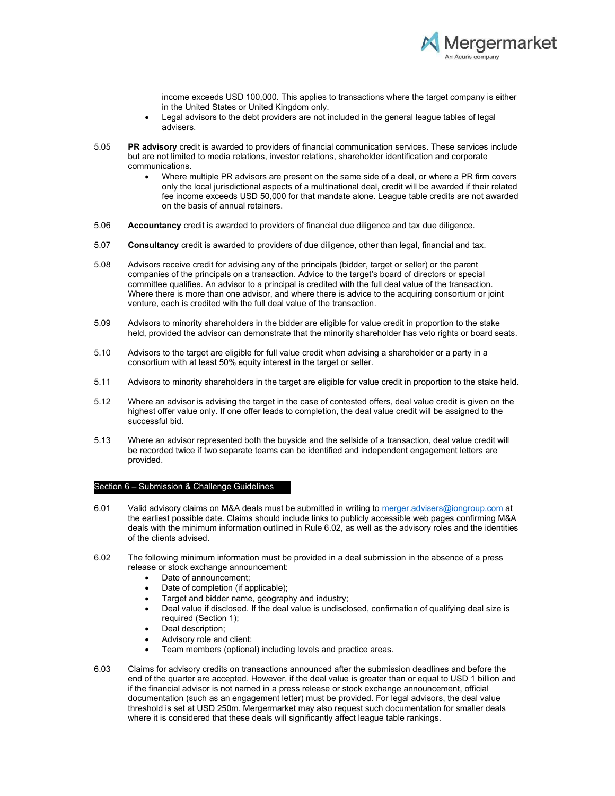

income exceeds USD 100,000. This applies to transactions where the target company is either in the United States or United Kingdom only.

- Legal advisors to the debt providers are not included in the general league tables of legal advisers.
- 5.05 PR advisory credit is awarded to providers of financial communication services. These services include but are not limited to media relations, investor relations, shareholder identification and corporate communications.
	- Where multiple PR advisors are present on the same side of a deal, or where a PR firm covers only the local jurisdictional aspects of a multinational deal, credit will be awarded if their related fee income exceeds USD 50,000 for that mandate alone. League table credits are not awarded on the basis of annual retainers.
- 5.06 Accountancy credit is awarded to providers of financial due diligence and tax due diligence.
- 5.07 Consultancy credit is awarded to providers of due diligence, other than legal, financial and tax.
- 5.08 Advisors receive credit for advising any of the principals (bidder, target or seller) or the parent companies of the principals on a transaction. Advice to the target's board of directors or special committee qualifies. An advisor to a principal is credited with the full deal value of the transaction. Where there is more than one advisor, and where there is advice to the acquiring consortium or joint venture, each is credited with the full deal value of the transaction.
- 5.09 Advisors to minority shareholders in the bidder are eligible for value credit in proportion to the stake held, provided the advisor can demonstrate that the minority shareholder has veto rights or board seats.
- 5.10 Advisors to the target are eligible for full value credit when advising a shareholder or a party in a consortium with at least 50% equity interest in the target or seller.
- 5.11 Advisors to minority shareholders in the target are eligible for value credit in proportion to the stake held.
- 5.12 Where an advisor is advising the target in the case of contested offers, deal value credit is given on the highest offer value only. If one offer leads to completion, the deal value credit will be assigned to the successful bid.
- 5.13 Where an advisor represented both the buyside and the sellside of a transaction, deal value credit will be recorded twice if two separate teams can be identified and independent engagement letters are provided.

# Section 6 – Submission & Challenge Guidelines

- 6.01 Valid advisory claims on M&A deals must be submitted in writing to merger.advisers@iongroup.com at the earliest possible date. Claims should include links to publicly accessible web pages confirming M&A deals with the minimum information outlined in Rule 6.02, as well as the advisory roles and the identities of the clients advised.
- 6.02 The following minimum information must be provided in a deal submission in the absence of a press release or stock exchange announcement:
	- Date of announcement;
	- Date of completion (if applicable);
	- Target and bidder name, geography and industry;
	- Deal value if disclosed. If the deal value is undisclosed, confirmation of qualifying deal size is required (Section 1);
	- Deal description;
	- Advisory role and client;
	- Team members (optional) including levels and practice areas.
- 6.03 Claims for advisory credits on transactions announced after the submission deadlines and before the end of the quarter are accepted. However, if the deal value is greater than or equal to USD 1 billion and if the financial advisor is not named in a press release or stock exchange announcement, official documentation (such as an engagement letter) must be provided. For legal advisors, the deal value threshold is set at USD 250m. Mergermarket may also request such documentation for smaller deals where it is considered that these deals will significantly affect league table rankings.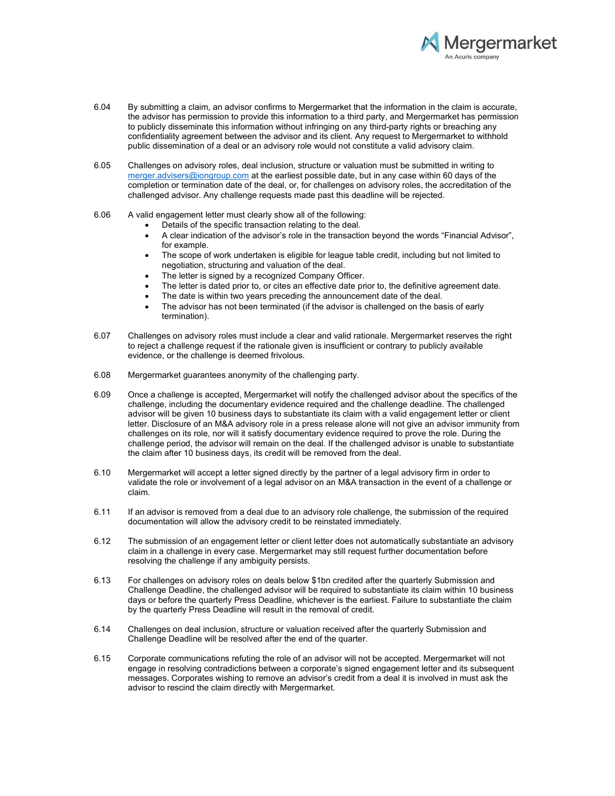

- 6.04 By submitting a claim, an advisor confirms to Mergermarket that the information in the claim is accurate, the advisor has permission to provide this information to a third party, and Mergermarket has permission to publicly disseminate this information without infringing on any third-party rights or breaching any confidentiality agreement between the advisor and its client. Any request to Mergermarket to withhold public dissemination of a deal or an advisory role would not constitute a valid advisory claim.
- 6.05 Challenges on advisory roles, deal inclusion, structure or valuation must be submitted in writing to merger.advisers@iongroup.com at the earliest possible date, but in any case within 60 days of the completion or termination date of the deal, or, for challenges on advisory roles, the accreditation of the challenged advisor. Any challenge requests made past this deadline will be rejected.
- 6.06 A valid engagement letter must clearly show all of the following:
	- Details of the specific transaction relating to the deal.
		- A clear indication of the advisor's role in the transaction beyond the words "Financial Advisor", for example.
		- The scope of work undertaken is eligible for league table credit, including but not limited to negotiation, structuring and valuation of the deal.
		- The letter is signed by a recognized Company Officer.
		- The letter is dated prior to, or cites an effective date prior to, the definitive agreement date.
		- The date is within two years preceding the announcement date of the deal.
		- The advisor has not been terminated (if the advisor is challenged on the basis of early termination).
- 6.07 Challenges on advisory roles must include a clear and valid rationale. Mergermarket reserves the right to reject a challenge request if the rationale given is insufficient or contrary to publicly available evidence, or the challenge is deemed frivolous.
- 6.08 Mergermarket guarantees anonymity of the challenging party.
- 6.09 Once a challenge is accepted, Mergermarket will notify the challenged advisor about the specifics of the challenge, including the documentary evidence required and the challenge deadline. The challenged advisor will be given 10 business days to substantiate its claim with a valid engagement letter or client letter. Disclosure of an M&A advisory role in a press release alone will not give an advisor immunity from challenges on its role, nor will it satisfy documentary evidence required to prove the role. During the challenge period, the advisor will remain on the deal. If the challenged advisor is unable to substantiate the claim after 10 business days, its credit will be removed from the deal.
- 6.10 Mergermarket will accept a letter signed directly by the partner of a legal advisory firm in order to validate the role or involvement of a legal advisor on an M&A transaction in the event of a challenge or claim.
- 6.11 If an advisor is removed from a deal due to an advisory role challenge, the submission of the required documentation will allow the advisory credit to be reinstated immediately.
- 6.12 The submission of an engagement letter or client letter does not automatically substantiate an advisory claim in a challenge in every case. Mergermarket may still request further documentation before resolving the challenge if any ambiguity persists.
- 6.13 For challenges on advisory roles on deals below \$1bn credited after the quarterly Submission and Challenge Deadline, the challenged advisor will be required to substantiate its claim within 10 business days or before the quarterly Press Deadline, whichever is the earliest. Failure to substantiate the claim by the quarterly Press Deadline will result in the removal of credit.
- 6.14 Challenges on deal inclusion, structure or valuation received after the quarterly Submission and Challenge Deadline will be resolved after the end of the quarter.
- 6.15 Corporate communications refuting the role of an advisor will not be accepted. Mergermarket will not engage in resolving contradictions between a corporate's signed engagement letter and its subsequent messages. Corporates wishing to remove an advisor's credit from a deal it is involved in must ask the advisor to rescind the claim directly with Mergermarket.